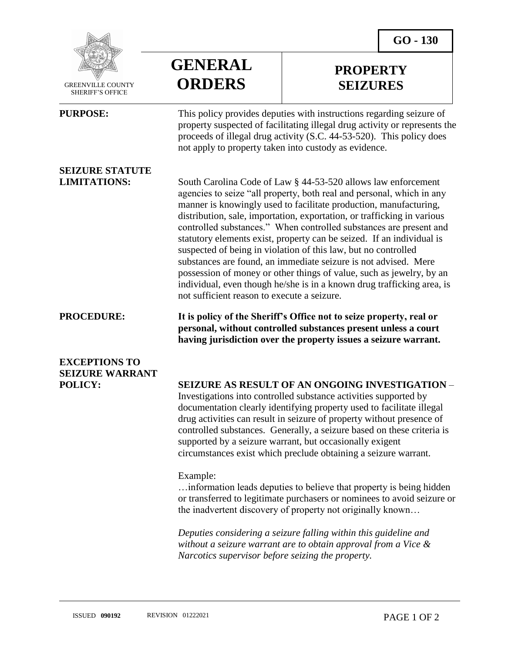**PROPERTY SEIZURES**



 GREENVILLE COUNTY SHERIFF'S OFFICE

 $\overline{a}$ 

# **SEIZURE STATUTE**

## **GENERAL ORDERS**

**PURPOSE:** This policy provides deputies with instructions regarding seizure of property suspected of facilitating illegal drug activity or represents the proceeds of illegal drug activity (S.C. 44-53-520). This policy does not apply to property taken into custody as evidence.

**LIMITATIONS:** South Carolina Code of Law § 44-53-520 allows law enforcement agencies to seize "all property, both real and personal, which in any manner is knowingly used to facilitate production, manufacturing, distribution, sale, importation, exportation, or trafficking in various controlled substances." When controlled substances are present and statutory elements exist, property can be seized. If an individual is suspected of being in violation of this law, but no controlled substances are found, an immediate seizure is not advised. Mere possession of money or other things of value, such as jewelry, by an individual, even though he/she is in a known drug trafficking area, is not sufficient reason to execute a seizure.

**PROCEDURE: It is policy of the Sheriff's Office not to seize property, real or personal, without controlled substances present unless a court having jurisdiction over the property issues a seizure warrant.**

## **EXCEPTIONS TO SEIZURE WARRANT**

### **POLICY: SEIZURE AS RESULT OF AN ONGOING INVESTIGATION** –

Investigations into controlled substance activities supported by documentation clearly identifying property used to facilitate illegal drug activities can result in seizure of property without presence of controlled substances. Generally, a seizure based on these criteria is supported by a seizure warrant, but occasionally exigent circumstances exist which preclude obtaining a seizure warrant.

### Example:

…information leads deputies to believe that property is being hidden or transferred to legitimate purchasers or nominees to avoid seizure or the inadvertent discovery of property not originally known…

*Deputies considering a seizure falling within this guideline and without a seizure warrant are to obtain approval from a Vice & Narcotics supervisor before seizing the property.*